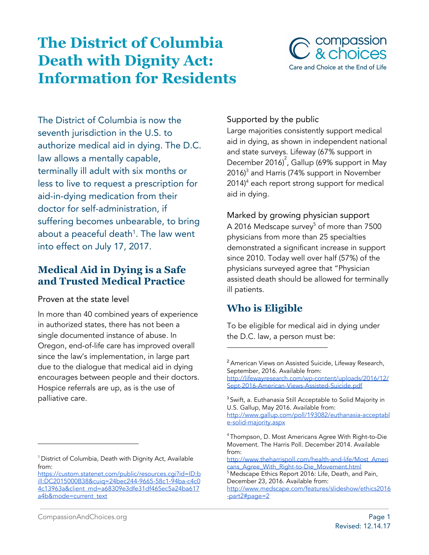# **The District of Columbia Death with Dignity Act: Information for Residents**



The District of Columbia is now the seventh jurisdiction in the U.S. to authorize medical aid in dying. The D.C. law allows a mentally capable, terminally ill adult with six months or less to live to request a prescription for aid-in-dying medication from their doctor for self-administration, if suffering becomes unbearable, to bring about a peaceful death<sup>1</sup>. The law went into effect on July 17, 2017.

## **Medical Aid in Dying is a Safe and Trusted Medical Practice**

#### Proven at the state level

In more than 40 combined years of experience in authorized states, there has not been a single documented instance of abuse. In Oregon, end-of-life care has improved overall since the law's implementation, in large part due to the dialogue that medical aid in dying encourages between people and their doctors. Hospice referrals are up, as is the use of palliative care.

#### <sup>1</sup> District of Columbia, Death with Dignity Act, Available from:

### Supported by the public

Large majorities consistently support medical aid in dying, as shown in independent national and state surveys. Lifeway (67% support in December 2016) $^{2}$ , Gallup (69% support in May 2016) $3$  and Harris (74% support in November  $2014$ <sup>4</sup> each report strong support for medical aid in dying.

Marked by growing physician support A 2016 Medscape survey $^5$  of more than 7500  $^2$ physicians from more than 25 specialties demonstrated a significant increase in support since 2010. Today well over half (57%) of the physicians surveyed agree that "Physician assisted death should be allowed for terminally ill patients.

# **Who is Eligible**

To be eligible for medical aid in dying under the D.C. law, a person must be:

[https://custom.statenet.com/public/resources.cgi?id=ID:b](https://custom.statenet.com/public/resources.cgi?id=ID:bill:DC2015000B38&cuiq=24bec244-9665-58c1-94ba-c4c04c13963a&client_md=a68309e3dfe31df465ec5a24ba617a4b&mode=current_text) [ill:DC2015000B38&cuiq=24bec244-9665-58c1-94ba-c4c0](https://custom.statenet.com/public/resources.cgi?id=ID:bill:DC2015000B38&cuiq=24bec244-9665-58c1-94ba-c4c04c13963a&client_md=a68309e3dfe31df465ec5a24ba617a4b&mode=current_text) [4c13963a&client\\_md=a68309e3dfe31df465ec5a24ba617](https://custom.statenet.com/public/resources.cgi?id=ID:bill:DC2015000B38&cuiq=24bec244-9665-58c1-94ba-c4c04c13963a&client_md=a68309e3dfe31df465ec5a24ba617a4b&mode=current_text) [a4b&mode=current\\_text](https://custom.statenet.com/public/resources.cgi?id=ID:bill:DC2015000B38&cuiq=24bec244-9665-58c1-94ba-c4c04c13963a&client_md=a68309e3dfe31df465ec5a24ba617a4b&mode=current_text)

<sup>2</sup> American Views on Assisted Suicide, Lifeway Research, September, 2016. Available from:

[http://lifewayresearch.com/wp-content/uploads/2016/12/](http://lifewayresearch.com/wp-content/uploads/2016/12/Sept-2016-American-Views-Assisted-Suicide.pdf) [Sept-2016-American-Views-Assisted-Suicide.pdf](http://lifewayresearch.com/wp-content/uploads/2016/12/Sept-2016-American-Views-Assisted-Suicide.pdf)

<sup>&</sup>lt;sup>3</sup> Swift, a. Euthanasia Still Acceptable to Solid Majority in U.S. Gallup, May 2016. Available from: [http://www.gallup.com/poll/193082/euthanasia-acceptabl](http://www.gallup.com/poll/193082/euthanasia-acceptable-solid-majority.aspx) [e-solid-majority.aspx](http://www.gallup.com/poll/193082/euthanasia-acceptable-solid-majority.aspx)

<sup>4</sup> Thompson, D. Most Americans Agree With Right-to-Die Movement. The Harris Poll. December 2014. Available from:

[http://www.theharrispoll.com/health-and-life/Most\\_Ameri](http://www.theharrispoll.com/health-and-life/Most_Americans_Agree_With_Right-to-Die_Movement.html) cans Agree With Right-to-Die Movement.html

<sup>&</sup>lt;sup>5</sup> Medscape Ethics Report 2016: Life, Death, and Pain, December 23, 2016. Available from:

[http://www.medscape.com/features/slideshow/ethics2016](http://www.medscape.com/features/slideshow/ethics2016-part2#page=2) [-part2#page=2](http://www.medscape.com/features/slideshow/ethics2016-part2#page=2)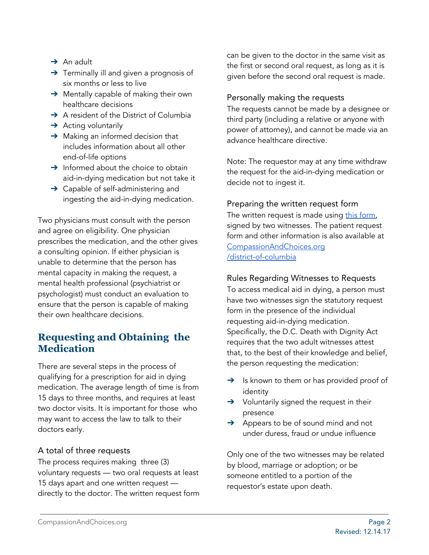- $\rightarrow$  An adult
- → Terminally ill and given a prognosis of six months or less to live
- → Mentally capable of making their own healthcare decisions
- → A resident of the District of Columbia
- $\rightarrow$  Acting voluntarily
- $\rightarrow$  Making an informed decision that includes information about all other end-of-life options
- $\rightarrow$  Informed about the choice to obtain aid-in-dying medication but not take it
- → Capable of self-administering and ingesting the aid-in-dying medication.

Two physicians must consult with the person and agree on eligibility. One physician prescribes the medication, and the other gives a consulting opinion. If either physician is unable to determine that the person has mental capacity in making the request, a mental health professional (psychiatrist or psychologist) must conduct an evaluation to ensure that the person is capable of making their own healthcare decisions.

# **Requesting and Obtaining the Medication**

There are several steps in the process of qualifying for a prescription for aid in dying medication. The average length of time is from 15 days to three months, and requires at least two doctor visits. It is important for those who may want to access the law to talk to their doctors early.

#### A total of three requests

The process requires making three (3) voluntary requests — two oral requests at least 15 days apart and one written request directly to the doctor. The written request form can be given to the doctor in the same visit as the first or second oral request, as long as it is given before the second oral request is made.

#### Personally making the requests

The requests cannot be made by a designee or third party (including a relative or anyone with power of attorney), and cannot be made via an advance healthcare directive.

Note: The requestor may at any time withdraw the request for the aid-in-dying medication or decide not to ingest it.

#### Preparing the written request form

The written request is made using this [form](https://doh.dc.gov/sites/default/files/dc/sites/doh/publication/attachments/Request%20For%20Medication%20To%20End%20My%20Life%20Humane%20Peaceful%20Manner%207-17-2017.pdf), signed by two witnesses. The patient request form and other information is also available at [CompassionAndChoices.org](https://www.compassionandchoices.org/district-of-columbia) [/district-of-columbia](https://www.compassionandchoices.org/district-of-columbia)

#### Rules Regarding Witnesses to Requests

To access medical aid in dying, a person must have two witnesses sign the statutory request form in the presence of the individual requesting aid-in-dying medication. Specifically, the D.C. Death with Dignity Act requires that the two adult witnesses attest that, to the best of their knowledge and belief, the person requesting the medication:

- $\rightarrow$  Is known to them or has provided proof of identity
- → Voluntarily signed the request in their presence
- ➔ Appears to be of sound mind and not under duress, fraud or undue influence

Only one of the two witnesses may be related by blood, marriage or adoption; or be someone entitled to a portion of the requestor's estate upon death.